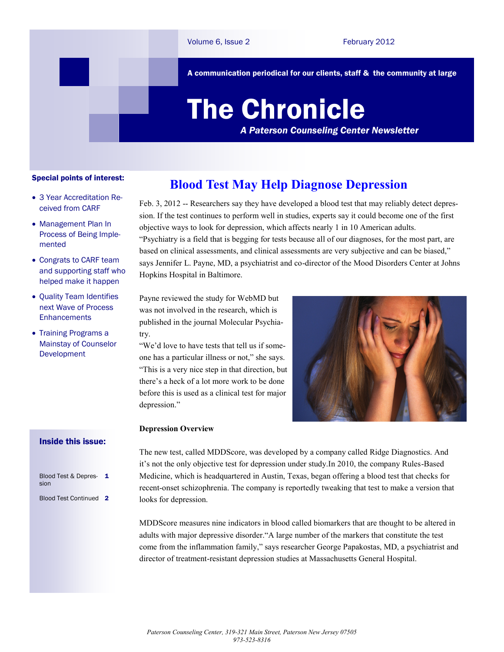A communication periodical for our clients, staff & the community at large

# The Chronicle

*A Paterson Counseling Center Newsletter*

### Special points of interest:

- 3 Year Accreditation Received from CARF
- Management Plan In Process of Being Implemented
- Congrats to CARF team and supporting staff who helped make it happen
- Quality Team Identifies next Wave of Process **Enhancements**
- Training Programs a Mainstay of Counselor Development

## Inside this issue:

| Blood Test & Depres- 1<br>sion |  |
|--------------------------------|--|
| Blood Test Continued 2         |  |

## **Blood Test May Help Diagnose Depression**

Feb. 3, 2012 -- Researchers say they have developed a blood test that may reliably detect depression. If the test continues to perform well in studies, experts say it could become one of the first objective ways to look for depression, which affects nearly 1 in 10 American adults. "Psychiatry is a field that is begging for tests because all of our diagnoses, for the most part, are based on clinical assessments, and clinical assessments are very subjective and can be biased," says Jennifer L. Payne, MD, a psychiatrist and co-director of the Mood Disorders Center at Johns Hopkins Hospital in Baltimore.

Payne reviewed the study for WebMD but was not involved in the research, which is published in the journal Molecular Psychiatry.

"We'd love to have tests that tell us if someone has a particular illness or not," she says. "This is a very nice step in that direction, but there's a heck of a lot more work to be done before this is used as a clinical test for major depression."



#### **Depression Overview**

The new test, called MDDScore, was developed by a company called Ridge Diagnostics. And it's not the only objective test for depression under study.In 2010, the company Rules-Based Medicine, which is headquartered in Austin, Texas, began offering a blood test that checks for recent-onset schizophrenia. The company is reportedly tweaking that test to make a version that looks for depression.

MDDScore measures nine indicators in blood called biomarkers that are thought to be altered in adults with major depressive disorder."A large number of the markers that constitute the test come from the inflammation family," says researcher George Papakostas, MD, a psychiatrist and director of treatment-resistant depression studies at Massachusetts General Hospital.